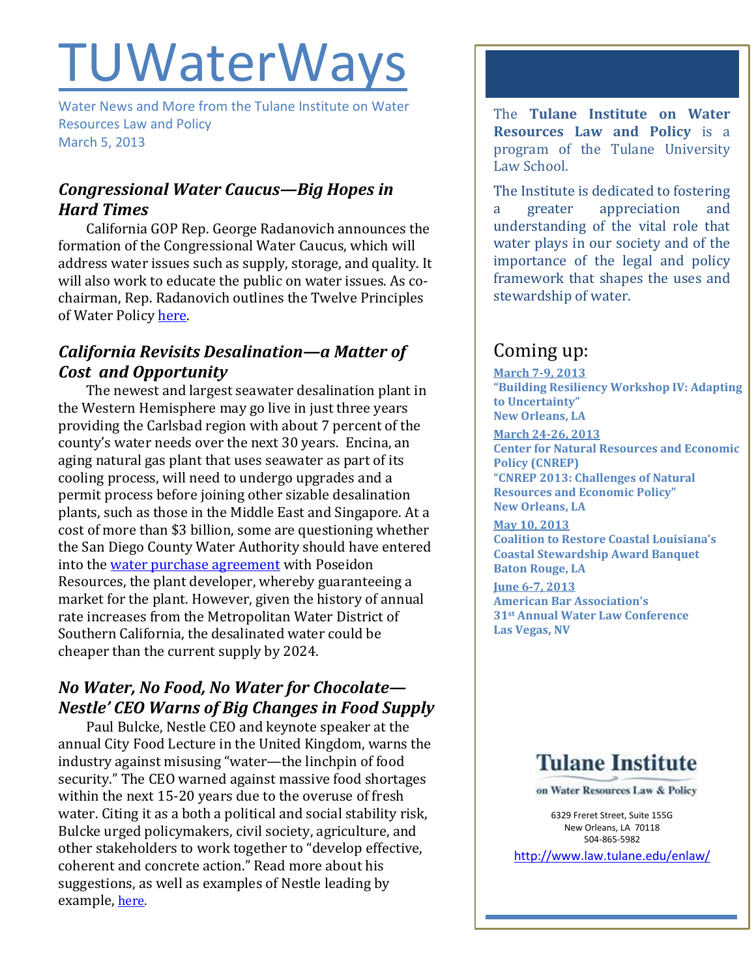# TUWaterWays

Water News and More from the Tulane Institute on Water Resources Law and Policy March 5, 2013

## *Congressional Water Caucus—Big Hopes in Hard Times*

California GOP Rep. George Radanovich announces the formation of the Congressional Water Caucus, which will address water issues such as supply, storage, and quality. It will also work to educate the public on water issues. As cochairman, Rep. Radanovich outlines the Twelve Principles of Water Policy [here.](http://thehill.com/blogs/congress-blog/politics/28096-new-congressional-water-caucus-will-find-solutions-educate-rep-george-radanovich)

## *California Revisits Desalination—a Matter of Cost and Opportunity*

The newest and largest seawater desalination plant in the Western Hemisphere may go live in just three years providing the Carlsbad region with about 7 percent of the county's water needs over the next 30 years. Encina, an aging natural gas plant that uses seawater as part of its cooling process, will need to undergo upgrades and a permit process before joining other sizable desalination plants, such as those in the Middle East and Singapore. At a cost of more than \$3 billion, some are questioning whether the San Diego County Water Authority should have entered into the [water purchase agreement](http://www.nytimes.com/2013/03/01/business/energy-environment/a-costly-california-desalination-plant-bets-on-future-affordability.html) with Poseidon Resources, the plant developer, whereby guaranteeing a market for the plant. However, given the history of annual rate increases from the Metropolitan Water District of Southern California, the desalinated water could be cheaper than the current supply by 2024.

# *No Water, No Food, No Water for Chocolate— Nestle' CEO Warns of Big Changes in Food Supply*

Paul Bulcke, Nestle CEO and keynote speaker at the annual City Food Lecture in the United Kingdom, warns the industry against misusing "water—the linchpin of food security." The CEO warned against massive food shortages within the next 15-20 years due to the overuse of fresh water. Citing it as a both a political and social stability risk, Bulcke urged policymakers, civil society, agriculture, and other stakeholders to work together to "develop effective, coherent and concrete action." Read more about his suggestions, as well as examples of Nestle leading by example, [here.](http://www.marketwatch.com/story/nestle-ceo-warns-water-scarcity-is-major-threat-to-food-industry-2013-02-25)

The **Tulane Institute on Water Resources Law and Policy** is a program of the Tulane University Law School.

The Institute is dedicated to fostering a greater appreciation and understanding of the vital role that water plays in our society and of the importance of the legal and policy framework that shapes the uses and stewardship of water.

# Coming up:

**March 7-9, 2013 "Building Resiliency Workshop IV: Adapting to Uncertainty" New Orleans, LA** 

**March 24-26, 2013 Center for Natural Resources and Economic Policy (CNREP) "CNREP 2013: Challenges of Natural Resources and Economic Policy" New Orleans, LA**

**May 10, 2013 Coalition to Restore Coastal Louisiana's Coastal Stewardship Award Banquet Baton Rouge, LA**

**June 6-7, 2013 American Bar Association's 31st Annual Water Law Conference Las Vegas, NV**



on Water Resources Law & Policy

6329 Freret Street, Suite 155G New Orleans, LA 70118 504-865-5982

<http://www.law.tulane.edu/enlaw/>